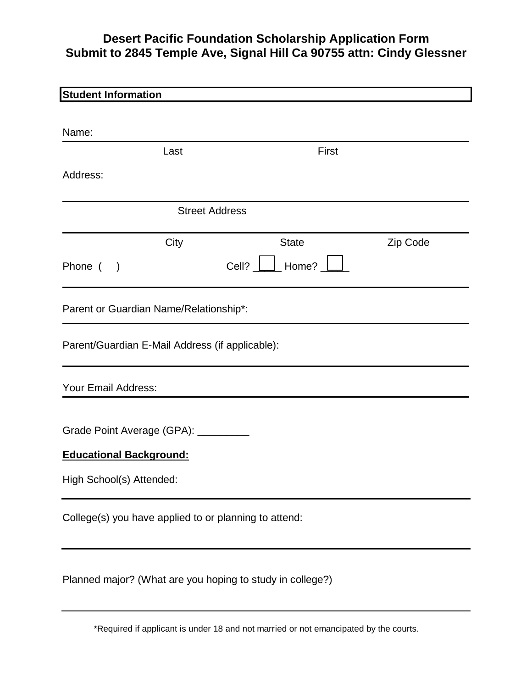# **Desert Pacific Foundation Scholarship Application Form Submit to 2845 Temple Ave, Signal Hill Ca 90755 attn: Cindy Glessner**

| <b>Student Information</b>                      |      |                                                           |          |
|-------------------------------------------------|------|-----------------------------------------------------------|----------|
|                                                 |      |                                                           |          |
| Name:                                           |      |                                                           |          |
|                                                 | Last | First                                                     |          |
| Address:                                        |      |                                                           |          |
|                                                 |      | <b>Street Address</b>                                     |          |
|                                                 | City | <b>State</b>                                              | Zip Code |
| Phone (<br>$\rightarrow$                        |      | Home?<br>Cell?                                            |          |
| Parent or Guardian Name/Relationship*:          |      |                                                           |          |
| Parent/Guardian E-Mail Address (if applicable): |      |                                                           |          |
| <b>Your Email Address:</b>                      |      |                                                           |          |
| Grade Point Average (GPA): _________            |      |                                                           |          |
| <b>Educational Background:</b>                  |      |                                                           |          |
| High School(s) Attended:                        |      |                                                           |          |
|                                                 |      | College(s) you have applied to or planning to attend:     |          |
|                                                 |      | Planned major? (What are you hoping to study in college?) |          |

\*Required if applicant is under 18 and not married or not emancipated by the courts.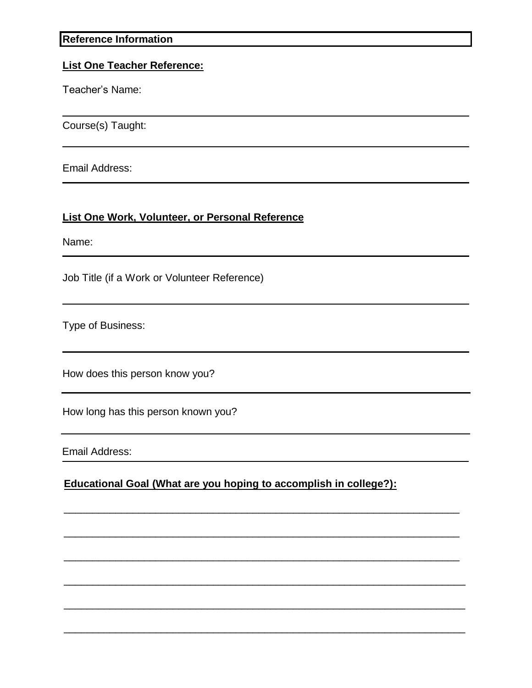#### **Reference Information**

#### **List One Teacher Reference:**

Teacher's Name:

Course(s) Taught:

Email Address:

### **List One Work, Volunteer, or Personal Reference**

Name:

Job Title (if a Work or Volunteer Reference)

Type of Business:

How does this person know you?

How long has this person known you?

Email Address:

**Educational Goal (What are you hoping to accomplish in college?):**

\_\_\_\_\_\_\_\_\_\_\_\_\_\_\_\_\_\_\_\_\_\_\_\_\_\_\_\_\_\_\_\_\_\_\_\_\_\_\_\_\_\_\_\_\_\_\_\_\_\_\_\_\_\_\_\_\_\_\_\_\_\_\_\_\_\_\_\_\_

 $\_$  , and the set of the set of the set of the set of the set of the set of the set of the set of the set of the set of the set of the set of the set of the set of the set of the set of the set of the set of the set of th

 $\_$  , and the set of the set of the set of the set of the set of the set of the set of the set of the set of the set of the set of the set of the set of the set of the set of the set of the set of the set of the set of th

\_\_\_\_\_\_\_\_\_\_\_\_\_\_\_\_\_\_\_\_\_\_\_\_\_\_\_\_\_\_\_\_\_\_\_\_\_\_\_\_\_\_\_\_\_\_\_\_\_\_\_\_\_\_\_\_\_\_\_\_\_\_\_\_\_\_\_\_\_\_

\_\_\_\_\_\_\_\_\_\_\_\_\_\_\_\_\_\_\_\_\_\_\_\_\_\_\_\_\_\_\_\_\_\_\_\_\_\_\_\_\_\_\_\_\_\_\_\_\_\_\_\_\_\_\_\_\_\_\_\_\_\_\_\_\_\_\_\_\_\_

\_\_\_\_\_\_\_\_\_\_\_\_\_\_\_\_\_\_\_\_\_\_\_\_\_\_\_\_\_\_\_\_\_\_\_\_\_\_\_\_\_\_\_\_\_\_\_\_\_\_\_\_\_\_\_\_\_\_\_\_\_\_\_\_\_\_\_\_\_\_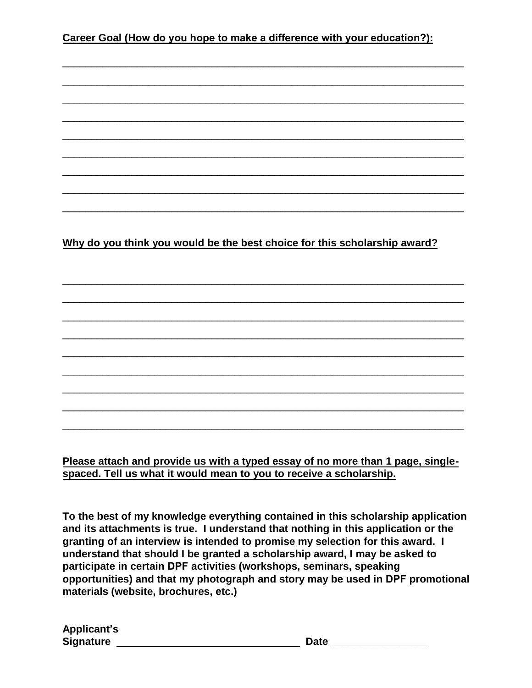## **Career Goal (How do you hope to make a difference with your education?):**

\_\_\_\_\_\_\_\_\_\_\_\_\_\_\_\_\_\_\_\_\_\_\_\_\_\_\_\_\_\_\_\_\_\_\_\_\_\_\_\_\_\_\_\_\_\_\_\_\_\_\_\_\_\_\_\_\_\_\_\_\_\_\_\_\_\_\_\_\_\_

\_\_\_\_\_\_\_\_\_\_\_\_\_\_\_\_\_\_\_\_\_\_\_\_\_\_\_\_\_\_\_\_\_\_\_\_\_\_\_\_\_\_\_\_\_\_\_\_\_\_\_\_\_\_\_\_\_\_\_\_\_\_\_\_\_\_\_\_\_\_

\_\_\_\_\_\_\_\_\_\_\_\_\_\_\_\_\_\_\_\_\_\_\_\_\_\_\_\_\_\_\_\_\_\_\_\_\_\_\_\_\_\_\_\_\_\_\_\_\_\_\_\_\_\_\_\_\_\_\_\_\_\_\_\_\_\_\_\_\_\_

\_\_\_\_\_\_\_\_\_\_\_\_\_\_\_\_\_\_\_\_\_\_\_\_\_\_\_\_\_\_\_\_\_\_\_\_\_\_\_\_\_\_\_\_\_\_\_\_\_\_\_\_\_\_\_\_\_\_\_\_\_\_\_\_\_\_\_\_\_\_

\_\_\_\_\_\_\_\_\_\_\_\_\_\_\_\_\_\_\_\_\_\_\_\_\_\_\_\_\_\_\_\_\_\_\_\_\_\_\_\_\_\_\_\_\_\_\_\_\_\_\_\_\_\_\_\_\_\_\_\_\_\_\_\_\_\_\_\_\_\_

\_\_\_\_\_\_\_\_\_\_\_\_\_\_\_\_\_\_\_\_\_\_\_\_\_\_\_\_\_\_\_\_\_\_\_\_\_\_\_\_\_\_\_\_\_\_\_\_\_\_\_\_\_\_\_\_\_\_\_\_\_\_\_\_\_\_\_\_\_\_

\_\_\_\_\_\_\_\_\_\_\_\_\_\_\_\_\_\_\_\_\_\_\_\_\_\_\_\_\_\_\_\_\_\_\_\_\_\_\_\_\_\_\_\_\_\_\_\_\_\_\_\_\_\_\_\_\_\_\_\_\_\_\_\_\_\_\_\_\_\_

\_\_\_\_\_\_\_\_\_\_\_\_\_\_\_\_\_\_\_\_\_\_\_\_\_\_\_\_\_\_\_\_\_\_\_\_\_\_\_\_\_\_\_\_\_\_\_\_\_\_\_\_\_\_\_\_\_\_\_\_\_\_\_\_\_\_\_\_\_\_

\_\_\_\_\_\_\_\_\_\_\_\_\_\_\_\_\_\_\_\_\_\_\_\_\_\_\_\_\_\_\_\_\_\_\_\_\_\_\_\_\_\_\_\_\_\_\_\_\_\_\_\_\_\_\_\_\_\_\_\_\_\_\_\_\_\_\_\_\_\_

\_\_\_\_\_\_\_\_\_\_\_\_\_\_\_\_\_\_\_\_\_\_\_\_\_\_\_\_\_\_\_\_\_\_\_\_\_\_\_\_\_\_\_\_\_\_\_\_\_\_\_\_\_\_\_\_\_\_\_\_\_\_\_\_\_\_\_\_\_\_

\_\_\_\_\_\_\_\_\_\_\_\_\_\_\_\_\_\_\_\_\_\_\_\_\_\_\_\_\_\_\_\_\_\_\_\_\_\_\_\_\_\_\_\_\_\_\_\_\_\_\_\_\_\_\_\_\_\_\_\_\_\_\_\_\_\_\_\_\_\_

\_\_\_\_\_\_\_\_\_\_\_\_\_\_\_\_\_\_\_\_\_\_\_\_\_\_\_\_\_\_\_\_\_\_\_\_\_\_\_\_\_\_\_\_\_\_\_\_\_\_\_\_\_\_\_\_\_\_\_\_\_\_\_\_\_\_\_\_\_\_

\_\_\_\_\_\_\_\_\_\_\_\_\_\_\_\_\_\_\_\_\_\_\_\_\_\_\_\_\_\_\_\_\_\_\_\_\_\_\_\_\_\_\_\_\_\_\_\_\_\_\_\_\_\_\_\_\_\_\_\_\_\_\_\_\_\_\_\_\_\_

\_\_\_\_\_\_\_\_\_\_\_\_\_\_\_\_\_\_\_\_\_\_\_\_\_\_\_\_\_\_\_\_\_\_\_\_\_\_\_\_\_\_\_\_\_\_\_\_\_\_\_\_\_\_\_\_\_\_\_\_\_\_\_\_\_\_\_\_\_\_

\_\_\_\_\_\_\_\_\_\_\_\_\_\_\_\_\_\_\_\_\_\_\_\_\_\_\_\_\_\_\_\_\_\_\_\_\_\_\_\_\_\_\_\_\_\_\_\_\_\_\_\_\_\_\_\_\_\_\_\_\_\_\_\_\_\_\_\_\_\_

\_\_\_\_\_\_\_\_\_\_\_\_\_\_\_\_\_\_\_\_\_\_\_\_\_\_\_\_\_\_\_\_\_\_\_\_\_\_\_\_\_\_\_\_\_\_\_\_\_\_\_\_\_\_\_\_\_\_\_\_\_\_\_\_\_\_\_\_\_\_

\_\_\_\_\_\_\_\_\_\_\_\_\_\_\_\_\_\_\_\_\_\_\_\_\_\_\_\_\_\_\_\_\_\_\_\_\_\_\_\_\_\_\_\_\_\_\_\_\_\_\_\_\_\_\_\_\_\_\_\_\_\_\_\_\_\_\_\_\_\_

\_\_\_\_\_\_\_\_\_\_\_\_\_\_\_\_\_\_\_\_\_\_\_\_\_\_\_\_\_\_\_\_\_\_\_\_\_\_\_\_\_\_\_\_\_\_\_\_\_\_\_\_\_\_\_\_\_\_\_\_\_\_\_\_\_\_\_\_\_\_

### **Why do you think you would be the best choice for this scholarship award?**

**Please attach and provide us with a typed essay of no more than 1 page, singlespaced. Tell us what it would mean to you to receive a scholarship.**

**To the best of my knowledge everything contained in this scholarship application and its attachments is true. I understand that nothing in this application or the granting of an interview is intended to promise my selection for this award. I understand that should I be granted a scholarship award, I may be asked to participate in certain DPF activities (workshops, seminars, speaking opportunities) and that my photograph and story may be used in DPF promotional materials (website, brochures, etc.)**

| <b>Applicant's</b> |  |
|--------------------|--|
| Signature          |  |

 $\blacksquare$  Date